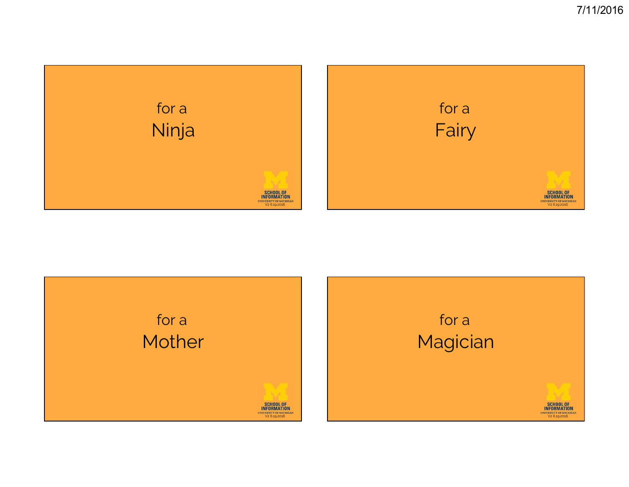

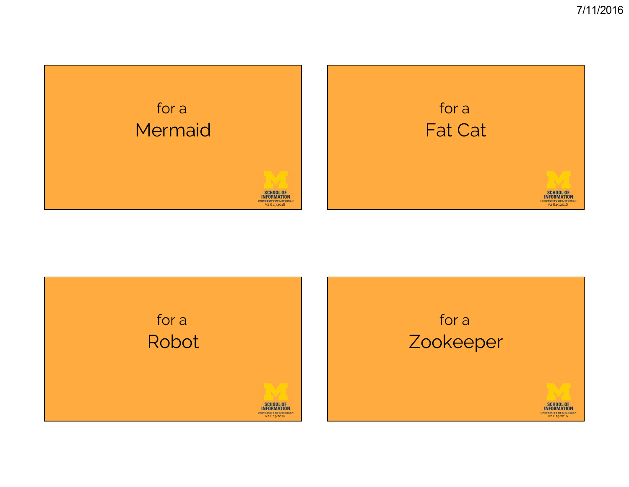

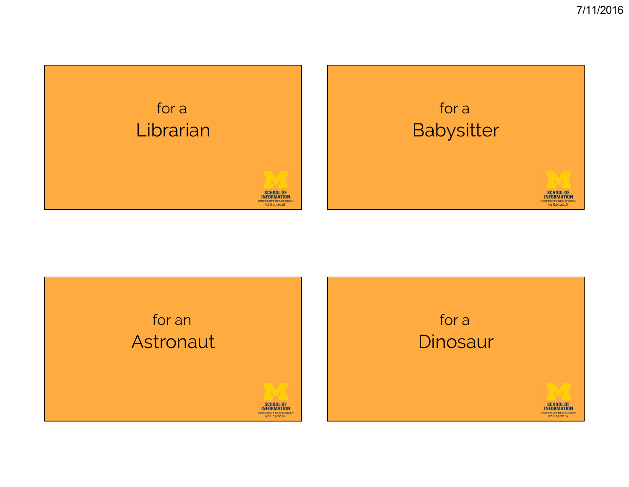

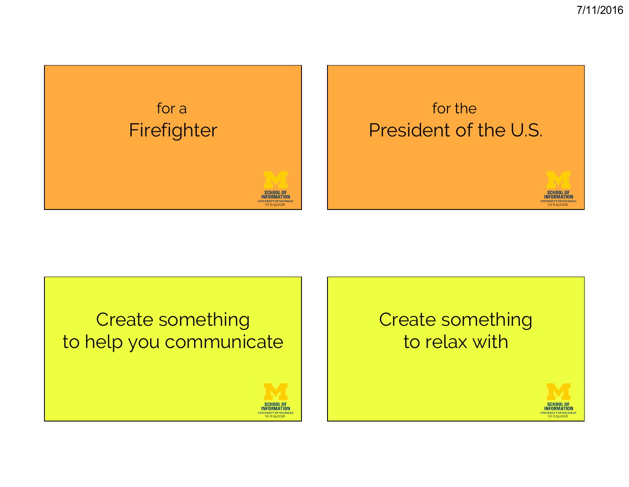

#### Create something to help you communicate

**SCHOOL OF INFORMATION** UNIVERSITY OF MICHIGA<br>V2 6.19.2016

#### Create something to relax with

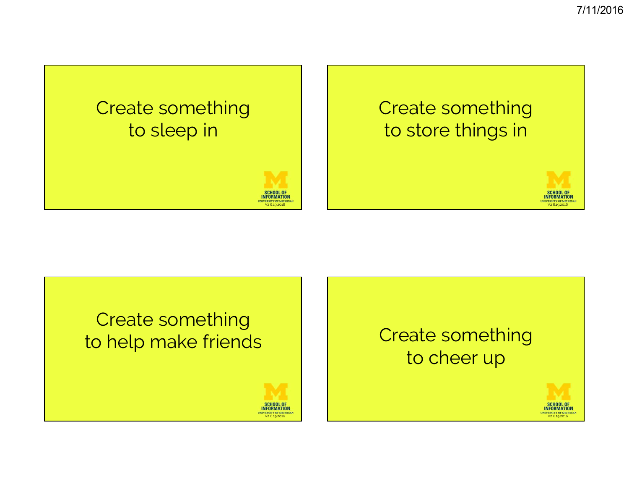





#### Create something to cheer up

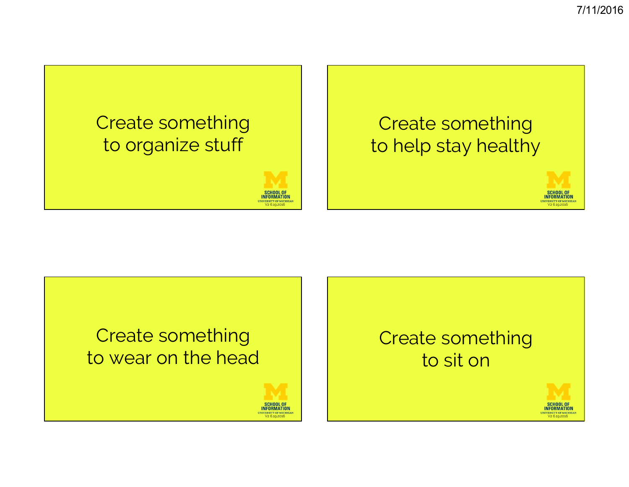#### Create something Create something to organize stuff to help stay healthy **SCHOOL OF INFORMATION INFORMATION** NIVERSITY OF MICHIGAL VERSITY OF MICHIGA





#### Create something to sit on

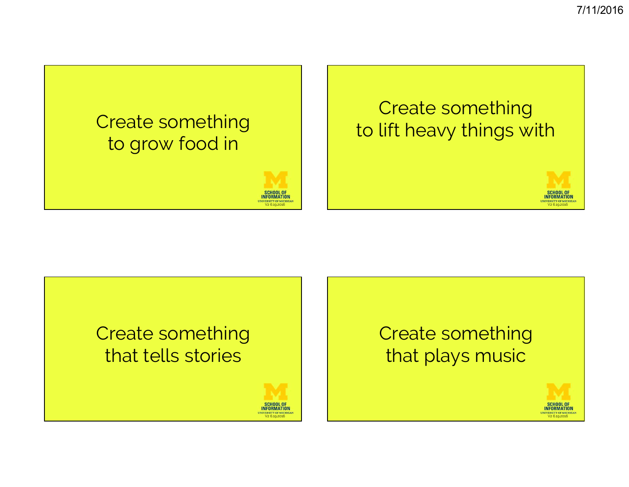# Create something to grow food in



#### Create something to lift heavy things with







# Create something that plays music

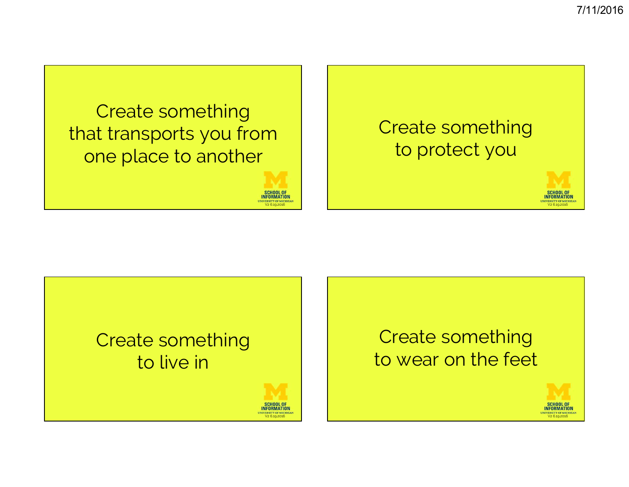# Create something that transports you from one place to another

SCHOOL OF<br>INFORMATION UNIVERSITY OF MICHIGA!<br>V2 6.19.2016

ERSITY OF MICH<br>V2 6.19.2016

# Create something to protect you





#### Create something to wear on the feet

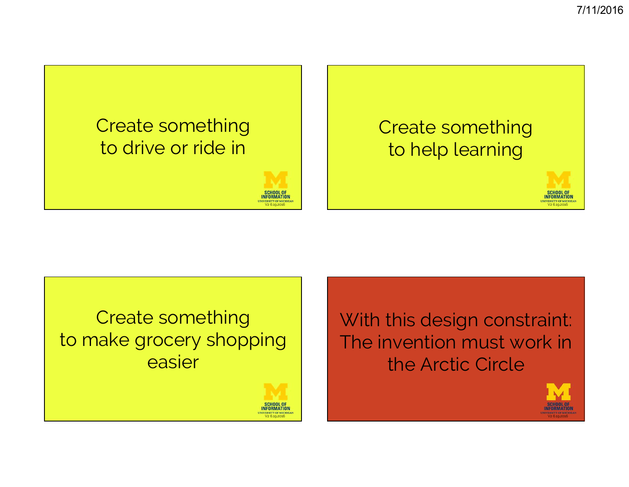# Create something to drive or ride in



# Create something to help learning



Create something to make grocery shopping easier



With this design constraint: The invention must work in the Arctic Circle

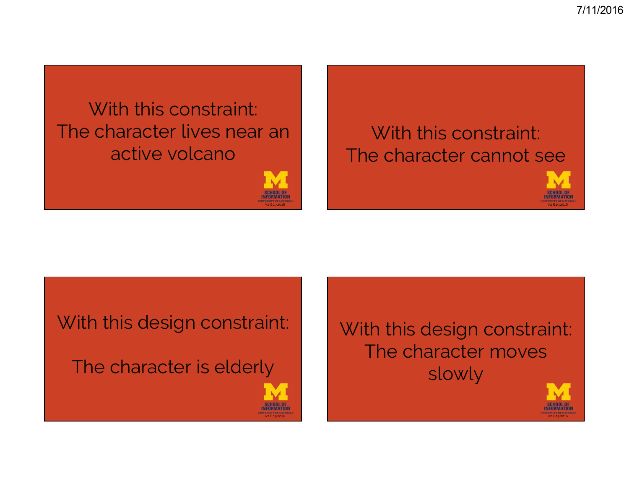# With this constraint: The character lives near an active volcano

# an<br>
The character cannot see



With this design constraint:

The character is elderly

With this design constraint: The character moves slowly

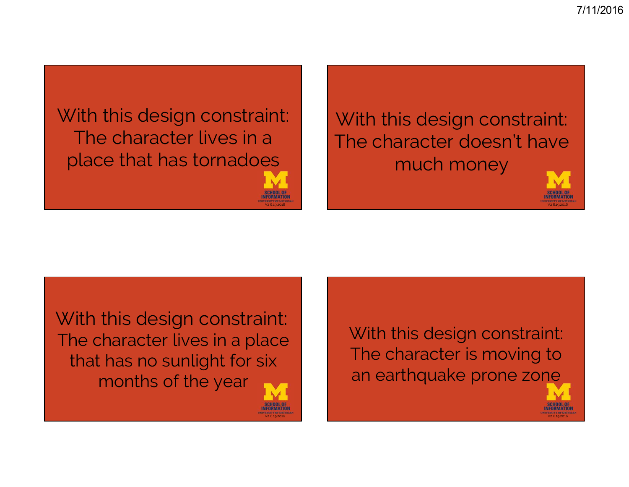With this design constraint: The character lives in a place that has tornadoes

With this design constraint: The character doesn't have much money



With this design constraint: The character lives in a place that has no sunlight for six months of the year

V2 6.19.2016

With this design constraint: The character is moving to an earthquake prone zone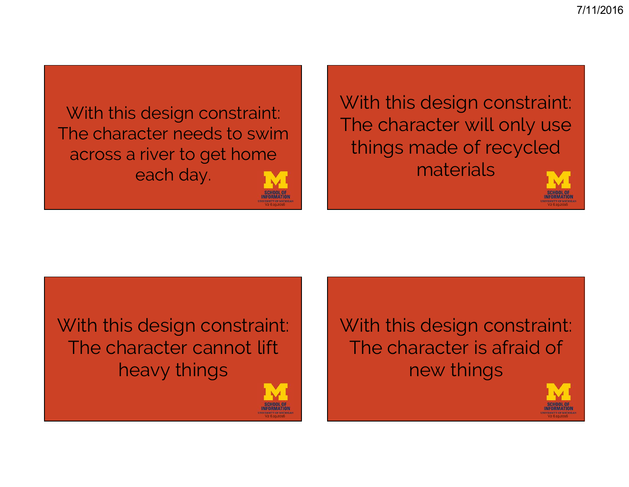With this design constraint: The character needs to swim across a river to get home each day.

With this design constraint: The character will only use things made of recycled materials



With this design constraint: The character cannot lift heavy things



V2 6.19.2016

With this design constraint: The character is afraid of new things

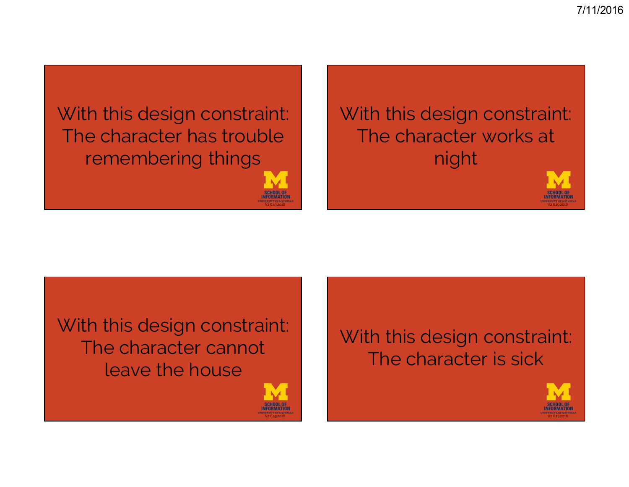With this design constraint: The character has trouble remembering things

With this design constraint: The character works at night



With this design constraint: The character cannot leave the house



V2 6.19.2016

#### With this design constraint: The character is sick